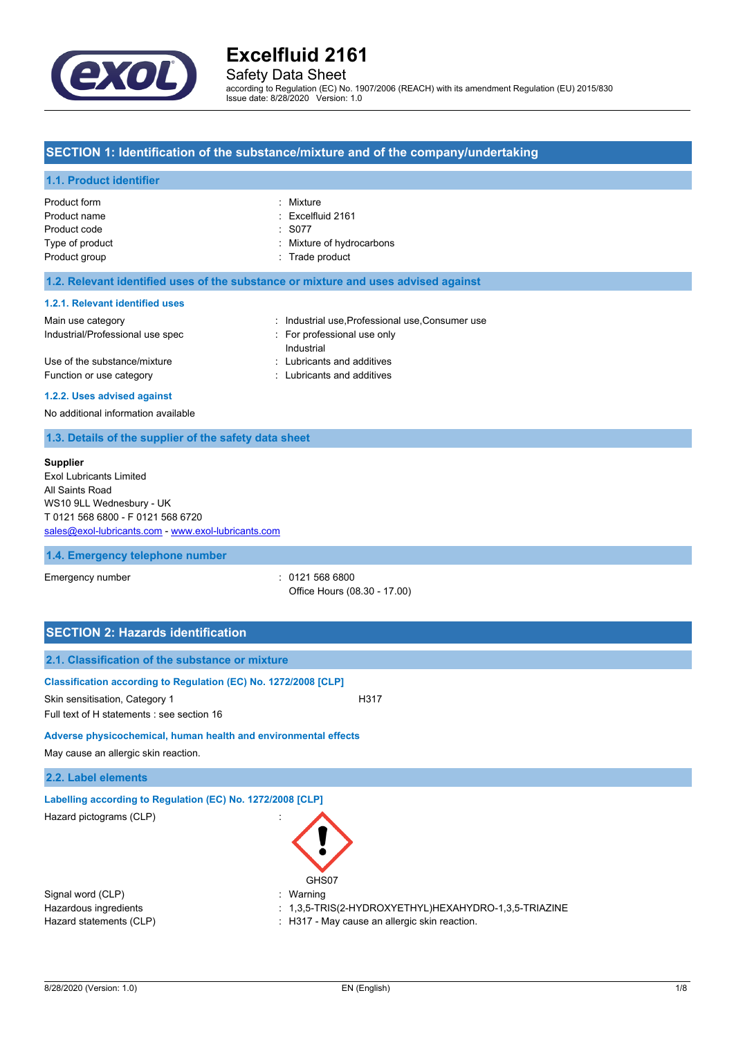

# Safety Data Sheet

according to Regulation (EC) No. 1907/2006 (REACH) with its amendment Regulation (EU) 2015/830 Issue date: 8/28/2020 Version: 1.0

## **SECTION 1: Identification of the substance/mixture and of the company/undertaking**

### **1.1. Product identifier**

| Product form    | : Mixture                    |
|-----------------|------------------------------|
| Product name    | $\therefore$ Excelfluid 2161 |
| Product code    | $\therefore$ S077            |
| Type of product | : Mixture of hydrocarbons    |
| Product group   | : Trade product              |
|                 |                              |

### **1.2. Relevant identified uses of the substance or mixture and uses advised against**

### **1.2.1. Relevant identified uses**

| Main use category                | : Industrial use Professional use Consumer use |  |
|----------------------------------|------------------------------------------------|--|
| Industrial/Professional use spec | For professional use only                      |  |
|                                  | Industrial                                     |  |
| Use of the substance/mixture     | : Lubricants and additives                     |  |
| Function or use category         | : Lubricants and additives                     |  |
|                                  |                                                |  |

### **1.2.2. Uses advised against**

No additional information available

## **1.3. Details of the supplier of the safety data sheet**

#### **Supplier**

Exol Lubricants Limited All Saints Road WS10 9LL Wednesbury - UK T 0121 568 6800 - F 0121 568 6720 [sales@exol-lubricants.com](mailto:sales@exol-lubricants.com) - <www.exol-lubricants.com>

### **1.4. Emergency telephone number**

Emergency number : 0121 568 6800 Office Hours (08.30 - 17.00)

| <b>SECTION 2: Hazards identification</b>                                                                                                        |                                                                                                          |
|-------------------------------------------------------------------------------------------------------------------------------------------------|----------------------------------------------------------------------------------------------------------|
| 2.1. Classification of the substance or mixture                                                                                                 |                                                                                                          |
| Classification according to Regulation (EC) No. 1272/2008 [CLP]<br>Skin sensitisation, Category 1<br>Full text of H statements : see section 16 | H317                                                                                                     |
| Adverse physicochemical, human health and environmental effects<br>May cause an allergic skin reaction.                                         |                                                                                                          |
| 2.2. Label elements                                                                                                                             |                                                                                                          |
| Labelling according to Regulation (EC) No. 1272/2008 [CLP]<br>Hazard pictograms (CLP)<br>GHS07                                                  |                                                                                                          |
| Signal word (CLP)<br>Warning<br>Hazardous ingredients<br>Hazard statements (CLP)                                                                | $: 1,3,5$ -TRIS(2-HYDROXYETHYL)HEXAHYDRO-1,3,5-TRIAZINE<br>: H317 - May cause an allergic skin reaction. |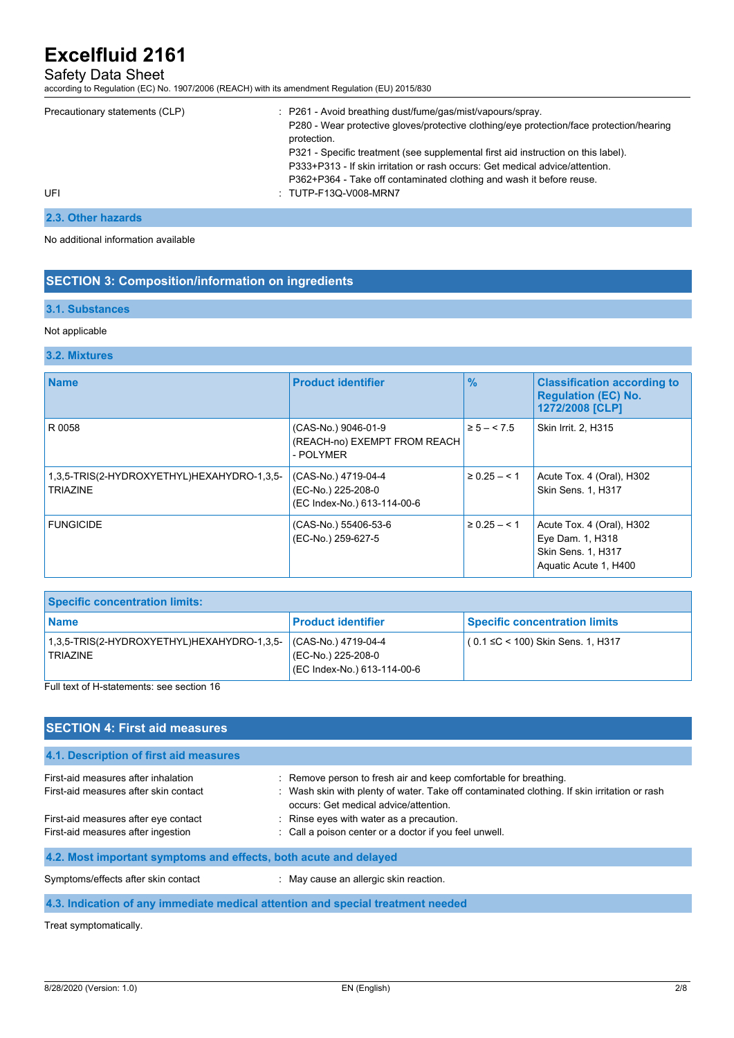# Safety Data Sheet

according to Regulation (EC) No. 1907/2006 (REACH) with its amendment Regulation (EU) 2015/830

| Precautionary statements (CLP) | : P261 - Avoid breathing dust/fume/gas/mist/vapours/spray.<br>P280 - Wear protective gloves/protective clothing/eye protection/face protection/hearing<br>protection.<br>P321 - Specific treatment (see supplemental first aid instruction on this label).<br>P333+P313 - If skin irritation or rash occurs: Get medical advice/attention.<br>P362+P364 - Take off contaminated clothing and wash it before reuse. |
|--------------------------------|--------------------------------------------------------------------------------------------------------------------------------------------------------------------------------------------------------------------------------------------------------------------------------------------------------------------------------------------------------------------------------------------------------------------|
| UFI                            | : TUTP-F13Q-V008-MRN7                                                                                                                                                                                                                                                                                                                                                                                              |

# **2.3. Other hazards**

No additional information available

## **SECTION 3: Composition/information on ingredients**

### **3.1. Substances**

#### Not applicable

## **3.2. Mixtures**

| <b>Name</b>                                            | <b>Product identifier</b>                                                | $\%$              | <b>Classification according to</b><br><b>Regulation (EC) No.</b><br>1272/2008 [CLP]          |
|--------------------------------------------------------|--------------------------------------------------------------------------|-------------------|----------------------------------------------------------------------------------------------|
| R 0058                                                 | (CAS-No.) 9046-01-9<br>(REACH-no) EXEMPT FROM REACH<br>- POLYMER         | $\ge 5 - 5.5$     | Skin Irrit. 2, H315                                                                          |
| 1,3,5-TRIS(2-HYDROXYETHYL)HEXAHYDRO-1,3,5-<br>TRIAZINE | (CAS-No.) 4719-04-4<br>(EC-No.) 225-208-0<br>(EC Index-No.) 613-114-00-6 | $\geq 0.25 - 5.1$ | Acute Tox. 4 (Oral), H302<br><b>Skin Sens. 1. H317</b>                                       |
| <b>FUNGICIDE</b>                                       | (CAS-No.) 55406-53-6<br>(EC-No.) 259-627-5                               | $\ge 0.25 - 5.1$  | Acute Tox. 4 (Oral), H302<br>Eye Dam. 1, H318<br>Skin Sens. 1, H317<br>Aquatic Acute 1, H400 |

| <b>Specific concentration limits:</b>                         |                                                                          |                                      |  |
|---------------------------------------------------------------|--------------------------------------------------------------------------|--------------------------------------|--|
| <b>Name</b>                                                   | <b>Product identifier</b>                                                | <b>Specific concentration limits</b> |  |
| 1,3,5-TRIS(2-HYDROXYETHYL)HEXAHYDRO-1,3,5-<br><b>TRIAZINE</b> | (CAS-No.) 4719-04-4<br>(EC-No.) 225-208-0<br>(EC Index-No.) 613-114-00-6 | $(0.1 ≤ C < 100)$ Skin Sens. 1, H317 |  |

Full text of H-statements: see section 16

# **SECTION 4: First aid measures**

| 4.1. Description of first aid measures                                       |                                                                                                                                                                                                           |  |
|------------------------------------------------------------------------------|-----------------------------------------------------------------------------------------------------------------------------------------------------------------------------------------------------------|--|
| First-aid measures after inhalation<br>First-aid measures after skin contact | : Remove person to fresh air and keep comfortable for breathing.<br>: Wash skin with plenty of water. Take off contaminated clothing. If skin irritation or rash<br>occurs: Get medical advice/attention. |  |
| First-aid measures after eye contact<br>First-aid measures after ingestion   | Rinse eyes with water as a precaution.<br>: Call a poison center or a doctor if you feel unwell.                                                                                                          |  |
| 4.2. Most important symptoms and effects, both acute and delayed             |                                                                                                                                                                                                           |  |
| Symptoms/effects after skin contact                                          | May cause an allergic skin reaction.                                                                                                                                                                      |  |

**4.3. Indication of any immediate medical attention and special treatment needed**

Treat symptomatically.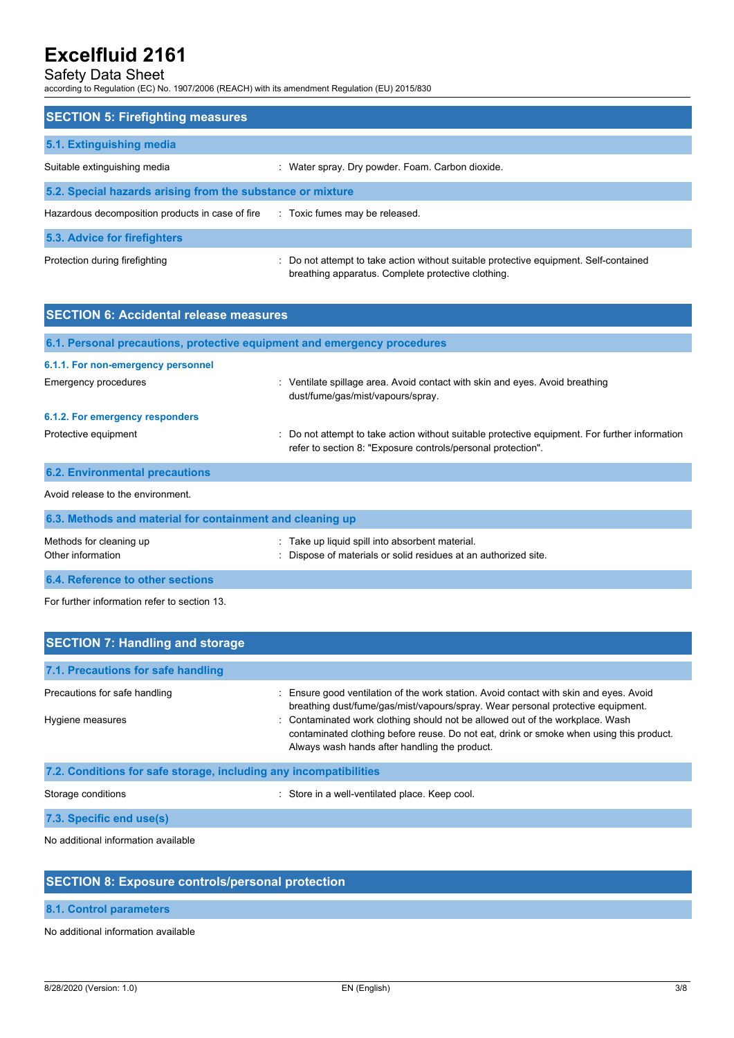# Safety Data Sheet

according to Regulation (EC) No. 1907/2006 (REACH) with its amendment Regulation (EU) 2015/830

| <b>SECTION 5: Firefighting measures</b>                    |                                                                                                                                             |  |  |
|------------------------------------------------------------|---------------------------------------------------------------------------------------------------------------------------------------------|--|--|
| 5.1. Extinguishing media                                   |                                                                                                                                             |  |  |
| Suitable extinguishing media                               | : Water spray. Dry powder. Foam. Carbon dioxide.                                                                                            |  |  |
| 5.2. Special hazards arising from the substance or mixture |                                                                                                                                             |  |  |
| Hazardous decomposition products in case of fire           | : Toxic fumes may be released.                                                                                                              |  |  |
| 5.3. Advice for firefighters                               |                                                                                                                                             |  |  |
| Protection during firefighting                             | : Do not attempt to take action without suitable protective equipment. Self-contained<br>breathing apparatus. Complete protective clothing. |  |  |

| <b>SECTION 6: Accidental release measures</b>             |                                                                                                                                                                |  |
|-----------------------------------------------------------|----------------------------------------------------------------------------------------------------------------------------------------------------------------|--|
|                                                           | 6.1. Personal precautions, protective equipment and emergency procedures                                                                                       |  |
| 6.1.1. For non-emergency personnel                        |                                                                                                                                                                |  |
| Emergency procedures                                      | : Ventilate spillage area. Avoid contact with skin and eyes. Avoid breathing<br>dust/fume/gas/mist/vapours/spray.                                              |  |
| 6.1.2. For emergency responders                           |                                                                                                                                                                |  |
| Protective equipment                                      | : Do not attempt to take action without suitable protective equipment. For further information<br>refer to section 8: "Exposure controls/personal protection". |  |
| <b>6.2. Environmental precautions</b>                     |                                                                                                                                                                |  |
| Avoid release to the environment.                         |                                                                                                                                                                |  |
| 6.3. Methods and material for containment and cleaning up |                                                                                                                                                                |  |
| Methods for cleaning up<br>Other information              | : Take up liquid spill into absorbent material.<br>: Dispose of materials or solid residues at an authorized site.                                             |  |
| 6.4. Reference to other sections                          |                                                                                                                                                                |  |

For further information refer to section 13.

| <b>SECTION 7: Handling and storage</b>                            |                                                                                                                                                                                                                           |  |  |
|-------------------------------------------------------------------|---------------------------------------------------------------------------------------------------------------------------------------------------------------------------------------------------------------------------|--|--|
| 7.1. Precautions for safe handling                                |                                                                                                                                                                                                                           |  |  |
| Precautions for safe handling                                     | : Ensure good ventilation of the work station. Avoid contact with skin and eyes. Avoid<br>breathing dust/fume/gas/mist/vapours/spray. Wear personal protective equipment.                                                 |  |  |
| Hygiene measures                                                  | : Contaminated work clothing should not be allowed out of the workplace. Wash<br>contaminated clothing before reuse. Do not eat, drink or smoke when using this product.<br>Always wash hands after handling the product. |  |  |
| 7.2. Conditions for safe storage, including any incompatibilities |                                                                                                                                                                                                                           |  |  |
| Storage conditions                                                | : Store in a well-ventilated place. Keep cool.                                                                                                                                                                            |  |  |

**7.3. Specific end use(s)**

No additional information available

# **SECTION 8: Exposure controls/personal protection**

# **8.1. Control parameters**

No additional information available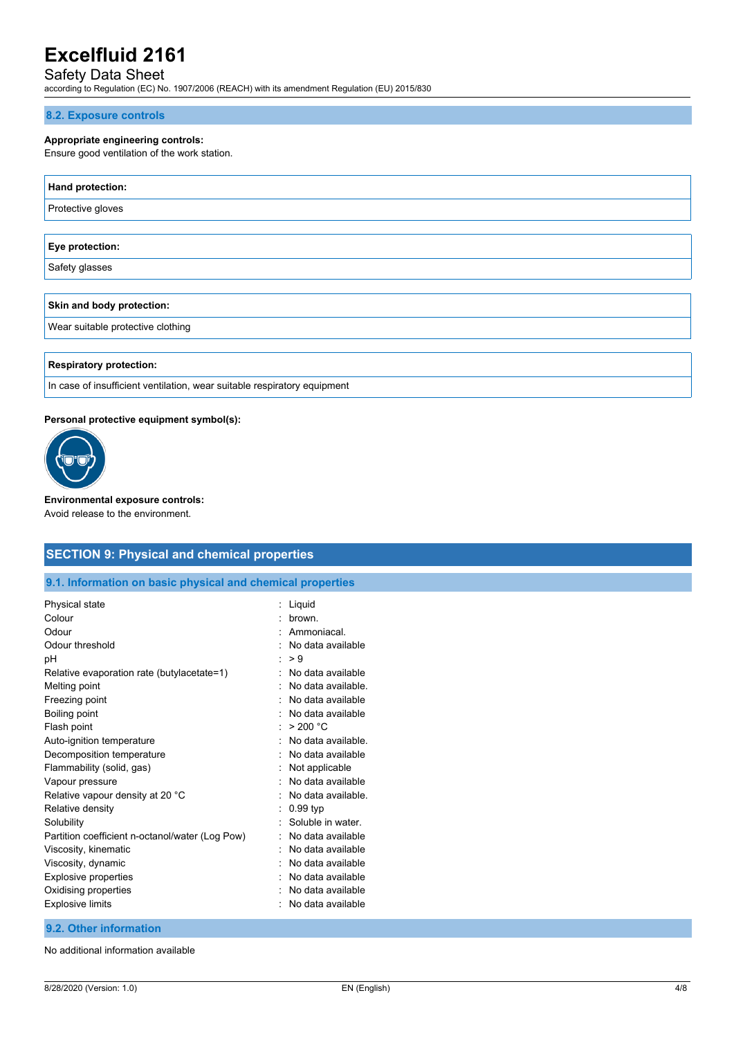# Safety Data Sheet

according to Regulation (EC) No. 1907/2006 (REACH) with its amendment Regulation (EU) 2015/830

### **8.2. Exposure controls**

### **Appropriate engineering controls:**

Ensure good ventilation of the work station.

| Hand protection:                  |
|-----------------------------------|
| Protective gloves                 |
|                                   |
| Eye protection:                   |
| Safety glasses                    |
|                                   |
| Skin and body protection:         |
| Wear suitable protective clothing |
|                                   |

**Respiratory protection:**

In case of insufficient ventilation, wear suitable respiratory equipment

### **Personal protective equipment symbol(s):**



**Environmental exposure controls:** Avoid release to the environment.

## **SECTION 9: Physical and chemical properties**

**9.1. Information on basic physical and chemical properties**

| Physical state                                  | Liquid             |
|-------------------------------------------------|--------------------|
| Colour                                          | brown              |
| Odour                                           | Ammoniacal.        |
| Odour threshold                                 | No data available  |
| рH                                              | > 9                |
| Relative evaporation rate (butylacetate=1)      | No data available  |
| Melting point                                   | No data available. |
| Freezing point                                  | No data available  |
| Boiling point                                   | No data available  |
| Flash point                                     | > 200 °C           |
| Auto-ignition temperature                       | No data available. |
| Decomposition temperature                       | No data available  |
| Flammability (solid, gas)                       | Not applicable     |
| Vapour pressure                                 | No data available  |
| Relative vapour density at 20 °C                | No data available. |
| Relative density                                | $0.99$ typ         |
| Solubility                                      | Soluble in water.  |
| Partition coefficient n-octanol/water (Log Pow) | No data available  |
| Viscosity, kinematic                            | No data available  |
| Viscosity, dynamic                              | No data available  |
| <b>Explosive properties</b>                     | No data available  |
| Oxidising properties                            | No data available  |
| <b>Explosive limits</b>                         | No data available  |
|                                                 |                    |

## **9.2. Other information**

No additional information available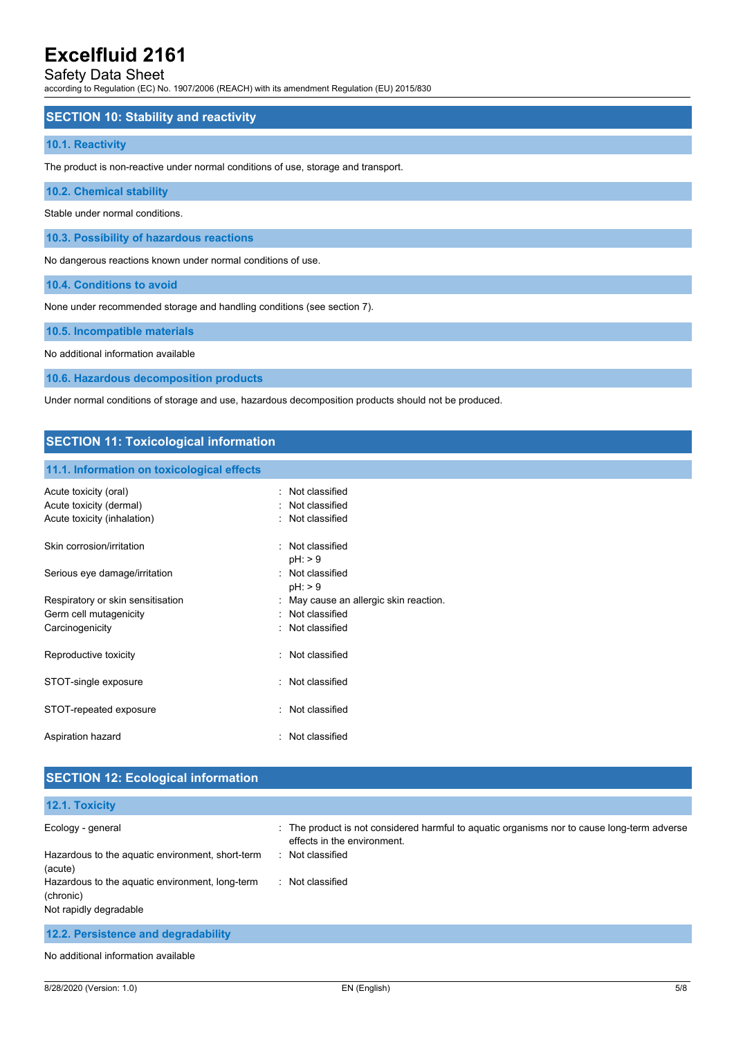## Safety Data Sheet

according to Regulation (EC) No. 1907/2006 (REACH) with its amendment Regulation (EU) 2015/830

## **SECTION 10: Stability and reactivity**

### **10.1. Reactivity**

The product is non-reactive under normal conditions of use, storage and transport.

**10.2. Chemical stability**

Stable under normal conditions.

**10.3. Possibility of hazardous reactions**

No dangerous reactions known under normal conditions of use.

**10.4. Conditions to avoid**

None under recommended storage and handling conditions (see section 7).

**10.5. Incompatible materials**

No additional information available

**10.6. Hazardous decomposition products**

Under normal conditions of storage and use, hazardous decomposition products should not be produced.

## **SECTION 11: Toxicological information**

### **11.1. Information on toxicological effects**

| Acute toxicity (oral)<br>Acute toxicity (dermal)<br>Acute toxicity (inhalation) | : Not classified<br>: Not classified<br>: Not classified                       |
|---------------------------------------------------------------------------------|--------------------------------------------------------------------------------|
| Skin corrosion/irritation                                                       | : Not classified<br>pH: > 9                                                    |
| Serious eye damage/irritation                                                   | : Not classified<br>pH: > 9                                                    |
| Respiratory or skin sensitisation<br>Germ cell mutagenicity<br>Carcinogenicity  | : May cause an allergic skin reaction.<br>: Not classified<br>: Not classified |
| Reproductive toxicity                                                           | : Not classified                                                               |
| STOT-single exposure                                                            | : Not classified                                                               |
| STOT-repeated exposure                                                          | : Not classified                                                               |
| Aspiration hazard                                                               | : Not classified                                                               |

## **SECTION 12: Ecological information**

| 12.1. Toxicity                                               |                                                                                                                            |
|--------------------------------------------------------------|----------------------------------------------------------------------------------------------------------------------------|
| Ecology - general                                            | : The product is not considered harmful to aquatic organisms nor to cause long-term adverse<br>effects in the environment. |
| Hazardous to the aquatic environment, short-term<br>(acute)  | : Not classified                                                                                                           |
| Hazardous to the aquatic environment, long-term<br>(chronic) | : Not classified                                                                                                           |
| Not rapidly degradable                                       |                                                                                                                            |
| 12.2. Persistence and degradability                          |                                                                                                                            |

No additional information available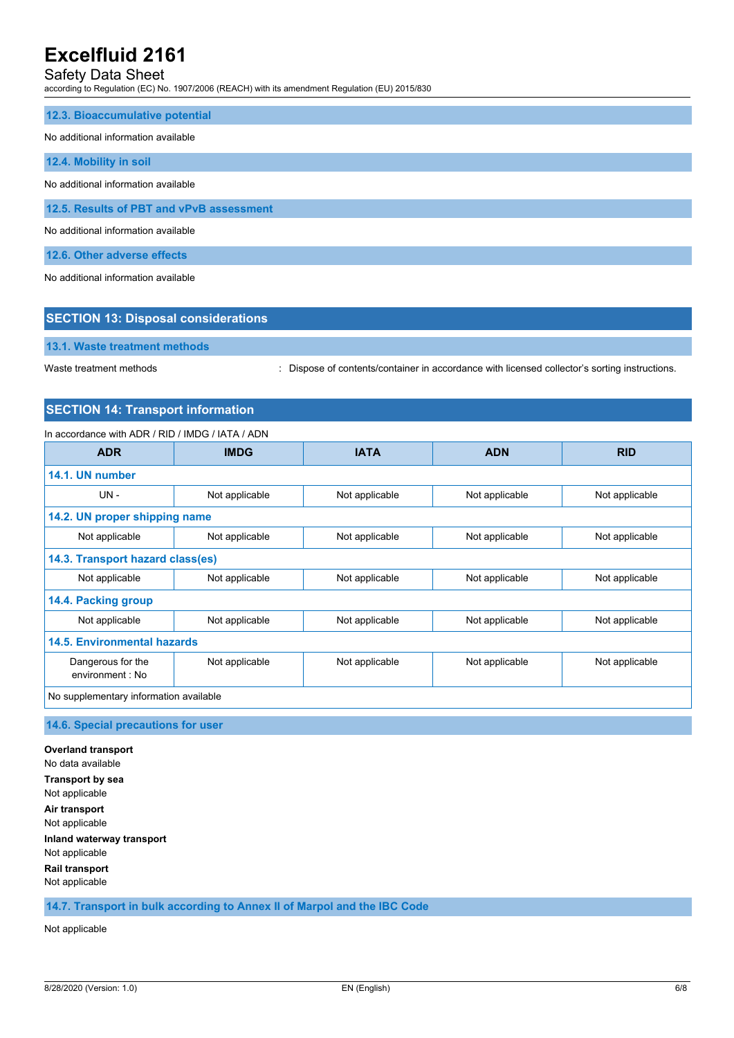# Safety Data Sheet

according to Regulation (EC) No. 1907/2006 (REACH) with its amendment Regulation (EU) 2015/830

### **12.3. Bioaccumulative potential**

#### No additional information available

### **12.4. Mobility in soil**

No additional information available

**12.5. Results of PBT and vPvB assessment**

No additional information available

**12.6. Other adverse effects**

No additional information available

| No additional information available |                                            |  |
|-------------------------------------|--------------------------------------------|--|
|                                     | <b>SECTION 13: Disposal considerations</b> |  |
|                                     | 13.1. Waste treatment methods              |  |

Waste treatment methods : Dispose of contents/container in accordance with licensed collector's sorting instructions.

# **SECTION 14: Transport information**

# In accordance with ADR / RID / IMDG / IATA / ADN

| <b>ADR</b>                             | <b>IMDG</b>    | <b>IATA</b>    | <b>ADN</b>     | <b>RID</b>     |
|----------------------------------------|----------------|----------------|----------------|----------------|
| 14.1. UN number                        |                |                |                |                |
| <b>UN-</b>                             | Not applicable | Not applicable | Not applicable | Not applicable |
| 14.2. UN proper shipping name          |                |                |                |                |
| Not applicable                         | Not applicable | Not applicable | Not applicable | Not applicable |
| 14.3. Transport hazard class(es)       |                |                |                |                |
| Not applicable                         | Not applicable | Not applicable | Not applicable | Not applicable |
| 14.4. Packing group                    |                |                |                |                |
| Not applicable                         | Not applicable | Not applicable | Not applicable | Not applicable |
| 14.5. Environmental hazards            |                |                |                |                |
| Dangerous for the<br>environment : No  | Not applicable | Not applicable | Not applicable | Not applicable |
| No supplementary information available |                |                |                |                |

## **14.6. Special precautions for user**

**Overland transport** No data available **Transport by sea** Not applicable **Air transport** Not applicable **Inland waterway transport** Not applicable **Rail transport** Not applicable

**14.7. Transport in bulk according to Annex II of Marpol and the IBC Code**

Not applicable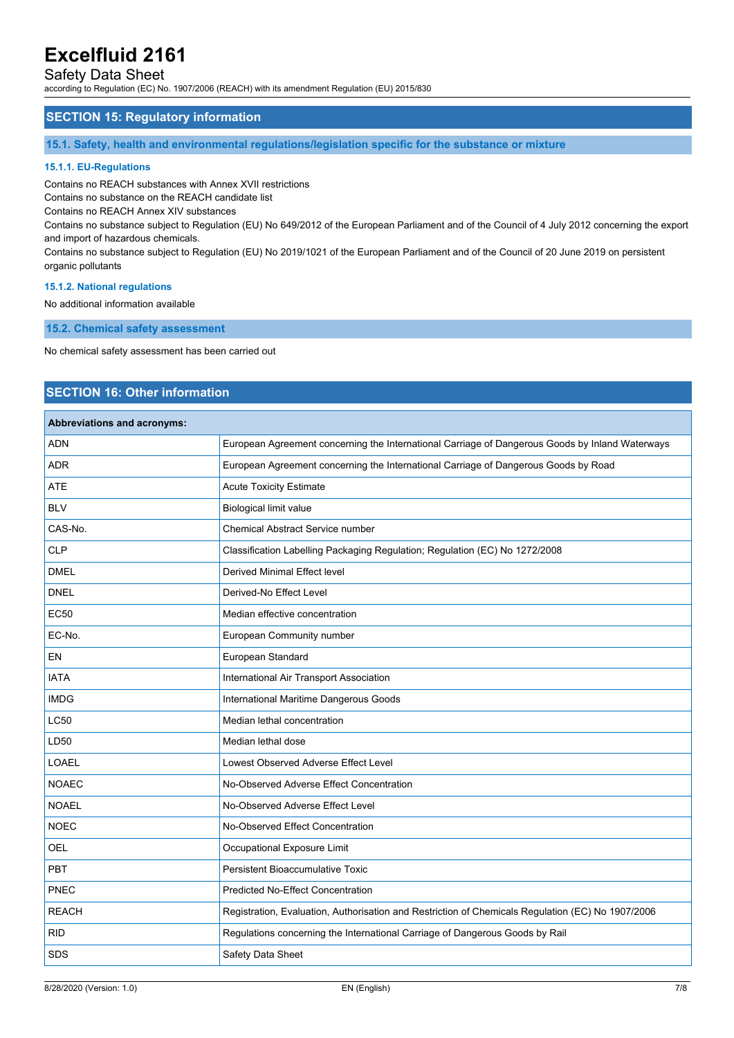## Safety Data Sheet

according to Regulation (EC) No. 1907/2006 (REACH) with its amendment Regulation (EU) 2015/830

## **SECTION 15: Regulatory information**

**15.1. Safety, health and environmental regulations/legislation specific for the substance or mixture**

### **15.1.1. EU-Regulations**

Contains no REACH substances with Annex XVII restrictions

Contains no substance on the REACH candidate list

Contains no REACH Annex XIV substances

Contains no substance subject to Regulation (EU) No 649/2012 of the European Parliament and of the Council of 4 July 2012 concerning the export and import of hazardous chemicals.

Contains no substance subject to Regulation (EU) No 2019/1021 of the European Parliament and of the Council of 20 June 2019 on persistent organic pollutants

#### **15.1.2. National regulations**

No additional information available

**15.2. Chemical safety assessment**

No chemical safety assessment has been carried out

# **SECTION 16: Other information**

## **Abbreviations and acronyms:**

| ADN          | European Agreement concerning the International Carriage of Dangerous Goods by Inland Waterways   |
|--------------|---------------------------------------------------------------------------------------------------|
| <b>ADR</b>   | European Agreement concerning the International Carriage of Dangerous Goods by Road               |
| <b>ATE</b>   | <b>Acute Toxicity Estimate</b>                                                                    |
| <b>BLV</b>   | <b>Biological limit value</b>                                                                     |
| CAS-No.      | Chemical Abstract Service number                                                                  |
| CLP          | Classification Labelling Packaging Regulation; Regulation (EC) No 1272/2008                       |
| <b>DMEL</b>  | <b>Derived Minimal Effect level</b>                                                               |
| <b>DNEL</b>  | Derived-No Effect Level                                                                           |
| <b>EC50</b>  | Median effective concentration                                                                    |
| EC-No.       | European Community number                                                                         |
| EN           | European Standard                                                                                 |
| <b>IATA</b>  | International Air Transport Association                                                           |
| <b>IMDG</b>  | International Maritime Dangerous Goods                                                            |
| <b>LC50</b>  | Median lethal concentration                                                                       |
| LD50         | Median lethal dose                                                                                |
| LOAEL        | Lowest Observed Adverse Effect Level                                                              |
| <b>NOAEC</b> | No-Observed Adverse Effect Concentration                                                          |
| <b>NOAEL</b> | No-Observed Adverse Effect Level                                                                  |
| <b>NOEC</b>  | No-Observed Effect Concentration                                                                  |
| <b>OEL</b>   | Occupational Exposure Limit                                                                       |
| PBT          | Persistent Bioaccumulative Toxic                                                                  |
| PNEC         | <b>Predicted No-Effect Concentration</b>                                                          |
| <b>REACH</b> | Registration, Evaluation, Authorisation and Restriction of Chemicals Regulation (EC) No 1907/2006 |
| <b>RID</b>   | Regulations concerning the International Carriage of Dangerous Goods by Rail                      |
| SDS          | Safety Data Sheet                                                                                 |
|              |                                                                                                   |